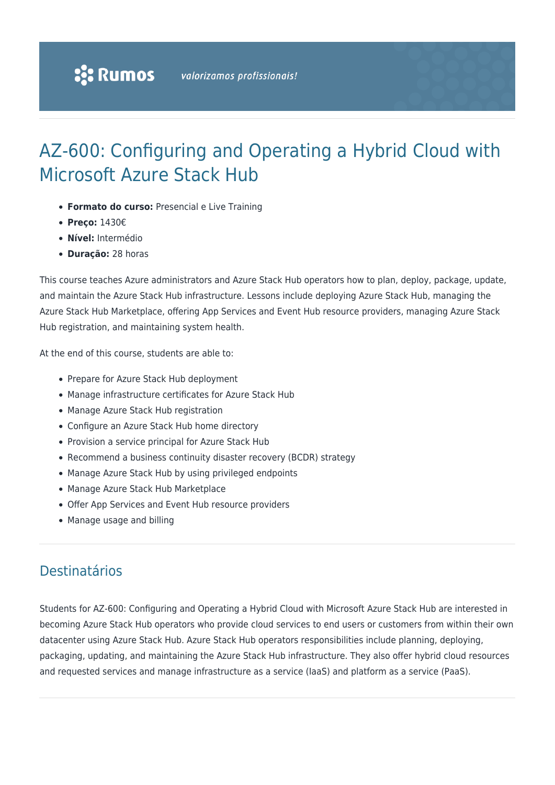# AZ-600: Configuring and Operating a Hybrid Cloud with Microsoft Azure Stack Hub

- **Formato do curso:** Presencial e Live Training
- **Preço:** 1430€
- **Nível:** Intermédio
- **Duração:** 28 horas

This course teaches Azure administrators and Azure Stack Hub operators how to plan, deploy, package, update, and maintain the Azure Stack Hub infrastructure. Lessons include deploying Azure Stack Hub, managing the Azure Stack Hub Marketplace, offering App Services and Event Hub resource providers, managing Azure Stack Hub registration, and maintaining system health.

At the end of this course, students are able to:

- Prepare for Azure Stack Hub deployment
- Manage infrastructure certificates for Azure Stack Hub
- Manage Azure Stack Hub registration
- Configure an Azure Stack Hub home directory
- Provision a service principal for Azure Stack Hub
- Recommend a business continuity disaster recovery (BCDR) strategy
- Manage Azure Stack Hub by using privileged endpoints
- Manage Azure Stack Hub Marketplace
- Offer App Services and Event Hub resource providers
- Manage usage and billing

## Destinatários

Students for AZ-600: Configuring and Operating a Hybrid Cloud with Microsoft Azure Stack Hub are interested in becoming Azure Stack Hub operators who provide cloud services to end users or customers from within their own datacenter using Azure Stack Hub. Azure Stack Hub operators responsibilities include planning, deploying, packaging, updating, and maintaining the Azure Stack Hub infrastructure. They also offer hybrid cloud resources and requested services and manage infrastructure as a service (IaaS) and platform as a service (PaaS).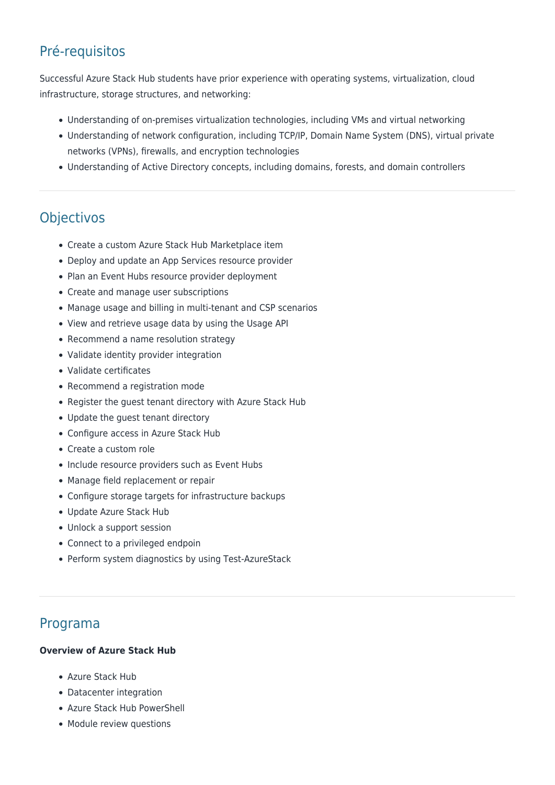# Pré-requisitos

Successful Azure Stack Hub students have prior experience with operating systems, virtualization, cloud infrastructure, storage structures, and networking:

- Understanding of on-premises virtualization technologies, including VMs and virtual networking
- Understanding of network configuration, including TCP/IP, Domain Name System (DNS), virtual private networks (VPNs), firewalls, and encryption technologies
- Understanding of Active Directory concepts, including domains, forests, and domain controllers

# **Objectivos**

- Create a custom Azure Stack Hub Marketplace item
- Deploy and update an App Services resource provider
- Plan an Event Hubs resource provider deployment
- Create and manage user subscriptions
- Manage usage and billing in multi-tenant and CSP scenarios
- View and retrieve usage data by using the Usage API
- Recommend a name resolution strategy
- Validate identity provider integration
- Validate certificates
- Recommend a registration mode
- Register the guest tenant directory with Azure Stack Hub
- Update the guest tenant directory
- Configure access in Azure Stack Hub
- Create a custom role
- Include resource providers such as Event Hubs
- Manage field replacement or repair
- Configure storage targets for infrastructure backups
- Update Azure Stack Hub
- Unlock a support session
- Connect to a privileged endpoin
- Perform system diagnostics by using Test-AzureStack

## Programa

#### **Overview of Azure Stack Hub**

- Azure Stack Hub
- Datacenter integration
- Azure Stack Hub PowerShell
- Module review questions